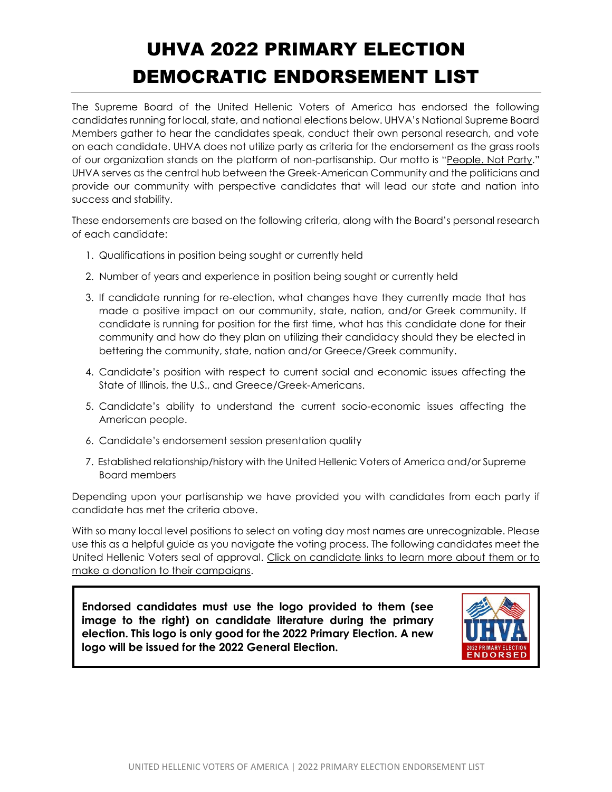## UHVA 2022 PRIMARY ELECTION DEMOCRATIC ENDORSEMENT LIST

The Supreme Board of the United Hellenic Voters of America has endorsed the following candidates running for local, state, and national elections below. UHVA's National Supreme Board Members gather to hear the candidates speak, conduct their own personal research, and vote on each candidate. UHVA does not utilize party as criteria for the endorsement as the grass roots of our organization stands on the platform of non-partisanship. Our motto is "People. Not Party." UHVA serves as the central hub between the Greek-American Community and the politicians and provide our community with perspective candidates that will lead our state and nation into success and stability.

These endorsements are based on the following criteria, along with the Board's personal research of each candidate:

- 1. Qualifications in position being sought or currently held
- 2. Number of years and experience in position being sought or currently held
- 3. If candidate running for re-election, what changes have they currently made that has made a positive impact on our community, state, nation, and/or Greek community. If candidate is running for position for the first time, what has this candidate done for their community and how do they plan on utilizing their candidacy should they be elected in bettering the community, state, nation and/or Greece/Greek community.
- 4. Candidate's position with respect to current social and economic issues affecting the State of Illinois, the U.S., and Greece/Greek-Americans.
- 5. Candidate's ability to understand the current socio-economic issues affecting the American people.
- 6. Candidate's endorsement session presentation quality
- 7. Established relationship/history with the United Hellenic Voters of America and/or Supreme Board members

Depending upon your partisanship we have provided you with candidates from each party if candidate has met the criteria above.

With so many local level positions to select on voting day most names are unrecognizable. Please use this as a helpful guide as you navigate the voting process. The following candidates meet the United Hellenic Voters seal of approval. Click on candidate links to learn more about them or to make a donation to their campaigns.

**Endorsed candidates must use the logo provided to them (see image to the right) on candidate literature during the primary election. This logo is only good for the 2022 Primary Election. A new logo will be issued for the 2022 General Election.**

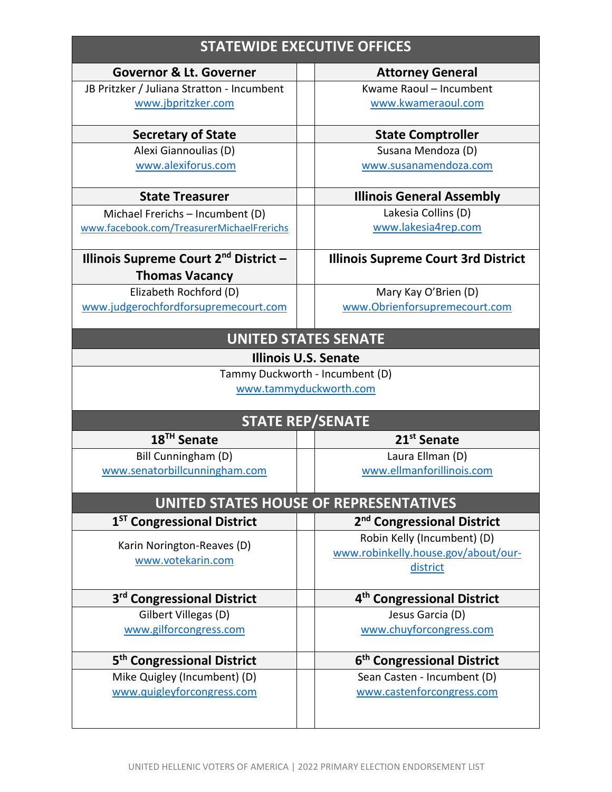| <b>STATEWIDE EXECUTIVE OFFICES</b>                |  |                                                           |  |  |
|---------------------------------------------------|--|-----------------------------------------------------------|--|--|
| <b>Governor &amp; Lt. Governer</b>                |  | <b>Attorney General</b>                                   |  |  |
| JB Pritzker / Juliana Stratton - Incumbent        |  | Kwame Raoul - Incumbent                                   |  |  |
| www.jbpritzker.com                                |  | www.kwameraoul.com                                        |  |  |
| <b>Secretary of State</b>                         |  | <b>State Comptroller</b>                                  |  |  |
| Alexi Giannoulias (D)                             |  | Susana Mendoza (D)                                        |  |  |
| www.alexiforus.com                                |  | www.susanamendoza.com                                     |  |  |
| <b>State Treasurer</b>                            |  | <b>Illinois General Assembly</b>                          |  |  |
| Michael Frerichs - Incumbent (D)                  |  | Lakesia Collins (D)                                       |  |  |
| www.facebook.com/TreasurerMichaelFrerichs         |  | www.lakesia4rep.com                                       |  |  |
| Illinois Supreme Court 2 <sup>nd</sup> District - |  | <b>Illinois Supreme Court 3rd District</b>                |  |  |
| <b>Thomas Vacancy</b>                             |  |                                                           |  |  |
| Elizabeth Rochford (D)                            |  | Mary Kay O'Brien (D)                                      |  |  |
| www.judgerochfordforsupremecourt.com              |  | www.Obrienforsupremecourt.com                             |  |  |
|                                                   |  | <b>UNITED STATES SENATE</b>                               |  |  |
|                                                   |  | <b>Illinois U.S. Senate</b>                               |  |  |
|                                                   |  | Tammy Duckworth - Incumbent (D)<br>www.tammyduckworth.com |  |  |
| <b>STATE REP/SENATE</b>                           |  |                                                           |  |  |
| 18 <sup>TH</sup> Senate                           |  | 21 <sup>st</sup> Senate                                   |  |  |
| Bill Cunningham (D)                               |  | Laura Ellman (D)                                          |  |  |
| www.senatorbillcunningham.com                     |  | www.ellmanforillinois.com                                 |  |  |
|                                                   |  | UNITED STATES HOUSE OF REPRESENTATIVES                    |  |  |
| 1 <sup>ST</sup> Congressional District            |  | 2 <sup>nd</sup> Congressional District                    |  |  |
| Karin Norington-Reaves (D)                        |  | Robin Kelly (Incumbent) (D)                               |  |  |
| www.votekarin.com                                 |  | www.robinkelly.house.gov/about/our-                       |  |  |
|                                                   |  | district                                                  |  |  |
| 3 <sup>rd</sup> Congressional District            |  | 4 <sup>th</sup> Congressional District                    |  |  |
| Gilbert Villegas (D)                              |  | Jesus Garcia (D)                                          |  |  |
| www.gilforcongress.com                            |  | www.chuyforcongress.com                                   |  |  |
| 5 <sup>th</sup> Congressional District            |  | 6 <sup>th</sup> Congressional District                    |  |  |
| Mike Quigley (Incumbent) (D)                      |  | Sean Casten - Incumbent (D)                               |  |  |
| www.quigleyforcongress.com                        |  | www.castenforcongress.com                                 |  |  |
|                                                   |  |                                                           |  |  |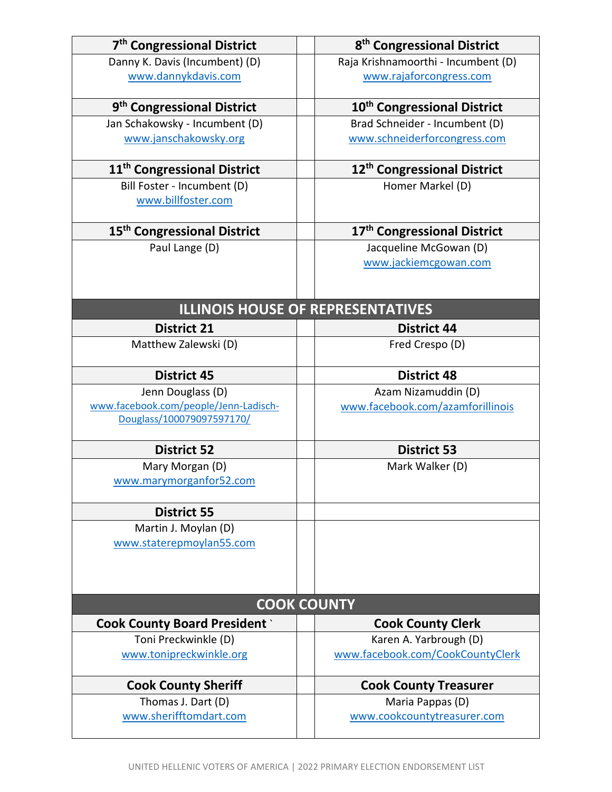| 7 <sup>th</sup> Congressional District                             | 8 <sup>th</sup> Congressional District          |
|--------------------------------------------------------------------|-------------------------------------------------|
| Danny K. Davis (Incumbent) (D)                                     | Raja Krishnamoorthi - Incumbent (D)             |
| www.dannykdavis.com                                                | www.rajaforcongress.com                         |
| 9 <sup>th</sup> Congressional District                             | 10 <sup>th</sup> Congressional District         |
| Jan Schakowsky - Incumbent (D)                                     | Brad Schneider - Incumbent (D)                  |
| www.janschakowsky.org                                              | www.schneiderforcongress.com                    |
| 11 <sup>th</sup> Congressional District                            | 12 <sup>th</sup> Congressional District         |
| Bill Foster - Incumbent (D)<br>www.billfoster.com                  | Homer Markel (D)                                |
| 15 <sup>th</sup> Congressional District                            | 17 <sup>th</sup> Congressional District         |
| Paul Lange (D)                                                     | Jacqueline McGowan (D)<br>www.jackiemcgowan.com |
|                                                                    | <b>ILLINOIS HOUSE OF REPRESENTATIVES</b>        |
| <b>District 21</b>                                                 | <b>District 44</b>                              |
| Matthew Zalewski (D)                                               | Fred Crespo (D)                                 |
| <b>District 45</b>                                                 | <b>District 48</b>                              |
| Jenn Douglass (D)                                                  | Azam Nizamuddin (D)                             |
| www.facebook.com/people/Jenn-Ladisch-<br>Douglass/100079097597170/ | www.facebook.com/azamforillinois                |
| <b>District 52</b>                                                 | <b>District 53</b>                              |
| Mary Morgan (D)<br>www.marymorganfor52.com                         | Mark Walker (D)                                 |
| <b>District 55</b>                                                 |                                                 |
| Martin J. Moylan (D)<br>www.staterepmoylan55.com                   |                                                 |
|                                                                    | <b>COOK COUNTY</b>                              |
| <b>Cook County Board President</b>                                 | <b>Cook County Clerk</b>                        |
| Toni Preckwinkle (D)                                               | Karen A. Yarbrough (D)                          |
| www.tonipreckwinkle.org                                            | www.facebook.com/CookCountyClerk                |
| <b>Cook County Sheriff</b>                                         | <b>Cook County Treasurer</b>                    |
| Thomas J. Dart (D)<br>www.sherifftomdart.com                       | Maria Pappas (D)<br>www.cookcountytreasurer.com |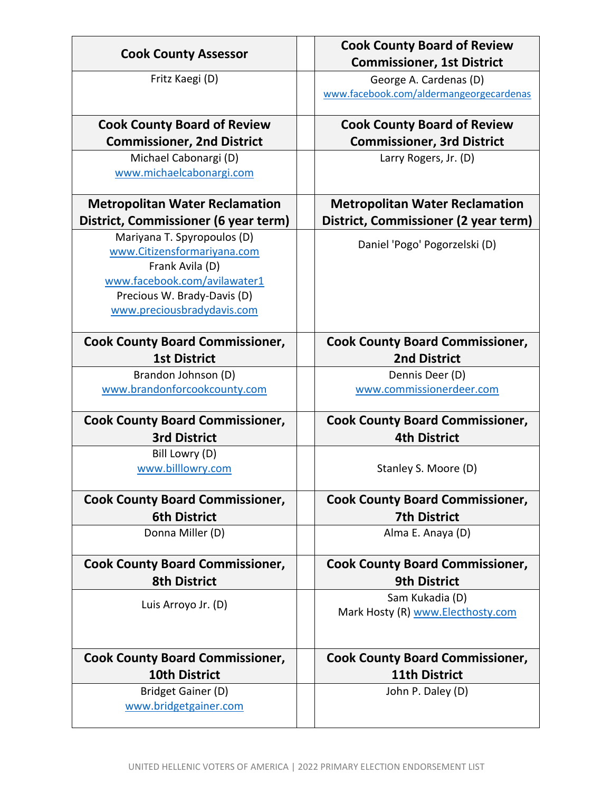| <b>Cook County Assessor</b>                                                                                                                                                | <b>Cook County Board of Review</b><br><b>Commissioner, 1st District</b> |
|----------------------------------------------------------------------------------------------------------------------------------------------------------------------------|-------------------------------------------------------------------------|
| Fritz Kaegi (D)                                                                                                                                                            | George A. Cardenas (D)<br>www.facebook.com/aldermangeorgecardenas       |
| <b>Cook County Board of Review</b>                                                                                                                                         | <b>Cook County Board of Review</b>                                      |
| <b>Commissioner, 2nd District</b>                                                                                                                                          | <b>Commissioner, 3rd District</b>                                       |
| Michael Cabonargi (D)<br>www.michaelcabonargi.com                                                                                                                          | Larry Rogers, Jr. (D)                                                   |
| <b>Metropolitan Water Reclamation</b>                                                                                                                                      | <b>Metropolitan Water Reclamation</b>                                   |
| District, Commissioner (6 year term)                                                                                                                                       | District, Commissioner (2 year term)                                    |
| Mariyana T. Spyropoulos (D)<br>www.Citizensformariyana.com<br>Frank Avila (D)<br>www.facebook.com/avilawater1<br>Precious W. Brady-Davis (D)<br>www.preciousbradydavis.com | Daniel 'Pogo' Pogorzelski (D)                                           |
| <b>Cook County Board Commissioner,</b><br><b>1st District</b>                                                                                                              | <b>Cook County Board Commissioner,</b><br><b>2nd District</b>           |
| Brandon Johnson (D)                                                                                                                                                        | Dennis Deer (D)                                                         |
| www.brandonforcookcounty.com                                                                                                                                               | www.commissionerdeer.com                                                |
| <b>Cook County Board Commissioner,</b>                                                                                                                                     | <b>Cook County Board Commissioner,</b>                                  |
| <b>3rd District</b>                                                                                                                                                        | <b>4th District</b>                                                     |
| Bill Lowry (D)<br>www.billlowry.com                                                                                                                                        | Stanley S. Moore (D)                                                    |
| <b>Cook County Board Commissioner,</b>                                                                                                                                     | <b>Cook County Board Commissioner,</b>                                  |
| <b>6th District</b>                                                                                                                                                        | <b>7th District</b>                                                     |
| Donna Miller (D)                                                                                                                                                           | Alma E. Anaya (D)                                                       |
| <b>Cook County Board Commissioner,</b><br><b>8th District</b>                                                                                                              | <b>Cook County Board Commissioner,</b><br><b>9th District</b>           |
| Luis Arroyo Jr. (D)                                                                                                                                                        | Sam Kukadia (D)<br>Mark Hosty (R) www.Electhosty.com                    |
| <b>Cook County Board Commissioner,</b>                                                                                                                                     | <b>Cook County Board Commissioner,</b>                                  |
| <b>10th District</b>                                                                                                                                                       | <b>11th District</b>                                                    |
| Bridget Gainer (D)<br>www.bridgetgainer.com                                                                                                                                | John P. Daley (D)                                                       |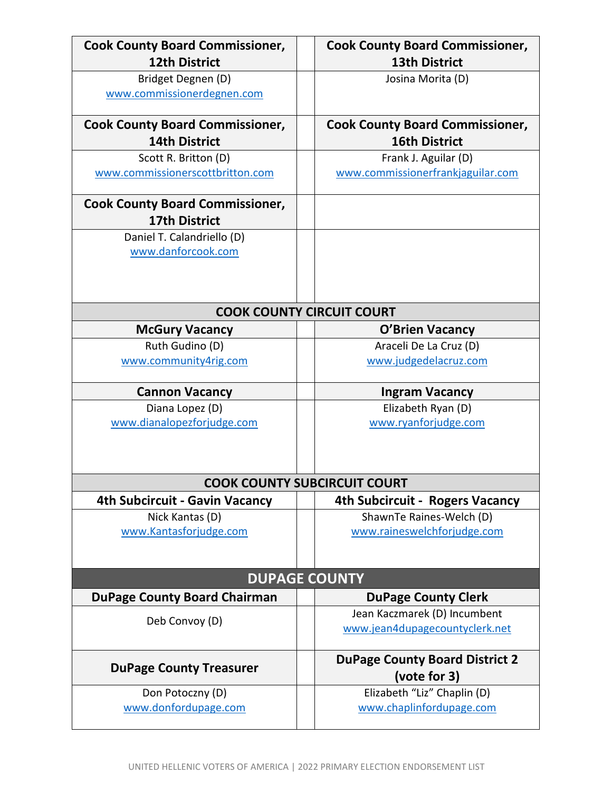| <b>Cook County Board Commissioner,</b><br><b>12th District</b> | <b>Cook County Board Commissioner,</b><br><b>13th District</b> |
|----------------------------------------------------------------|----------------------------------------------------------------|
| Bridget Degnen (D)                                             | Josina Morita (D)                                              |
| www.commissionerdegnen.com                                     |                                                                |
| <b>Cook County Board Commissioner,</b>                         | <b>Cook County Board Commissioner,</b>                         |
| <b>14th District</b>                                           | <b>16th District</b>                                           |
| Scott R. Britton (D)                                           | Frank J. Aguilar (D)                                           |
| www.commissionerscottbritton.com                               | www.commissionerfrankjaguilar.com                              |
| <b>Cook County Board Commissioner,</b>                         |                                                                |
| <b>17th District</b>                                           |                                                                |
| Daniel T. Calandriello (D)                                     |                                                                |
| www.danforcook.com                                             |                                                                |
|                                                                |                                                                |
|                                                                |                                                                |
|                                                                | <b>COOK COUNTY CIRCUIT COURT</b>                               |
| <b>McGury Vacancy</b>                                          | <b>O'Brien Vacancy</b>                                         |
| Ruth Gudino (D)                                                | Araceli De La Cruz (D)                                         |
| www.community4rig.com                                          | www.judgedelacruz.com                                          |
|                                                                |                                                                |
| <b>Cannon Vacancy</b>                                          | <b>Ingram Vacancy</b>                                          |
|                                                                |                                                                |
| Diana Lopez (D)                                                | Elizabeth Ryan (D)                                             |
| www.dianalopezforjudge.com                                     | www.ryanforjudge.com                                           |
|                                                                |                                                                |
|                                                                |                                                                |
|                                                                | <b>COOK COUNTY SUBCIRCUIT COURT</b>                            |
| <b>4th Subcircuit - Gavin Vacancy</b>                          | 4th Subcircuit - Rogers Vacancy                                |
| Nick Kantas (D)                                                | ShawnTe Raines-Welch (D)                                       |
| www.Kantasforjudge.com                                         | www.raineswelchforjudge.com                                    |
|                                                                |                                                                |
|                                                                | <b>DUPAGE COUNTY</b>                                           |
| <b>DuPage County Board Chairman</b>                            | <b>DuPage County Clerk</b>                                     |
|                                                                | Jean Kaczmarek (D) Incumbent                                   |
| Deb Convoy (D)                                                 | www.jean4dupagecountyclerk.net                                 |
|                                                                | <b>DuPage County Board District 2</b>                          |
| <b>DuPage County Treasurer</b>                                 | (vote for 3)                                                   |
| Don Potoczny (D)                                               | Elizabeth "Liz" Chaplin (D)                                    |
| www.donfordupage.com                                           | www.chaplinfordupage.com                                       |